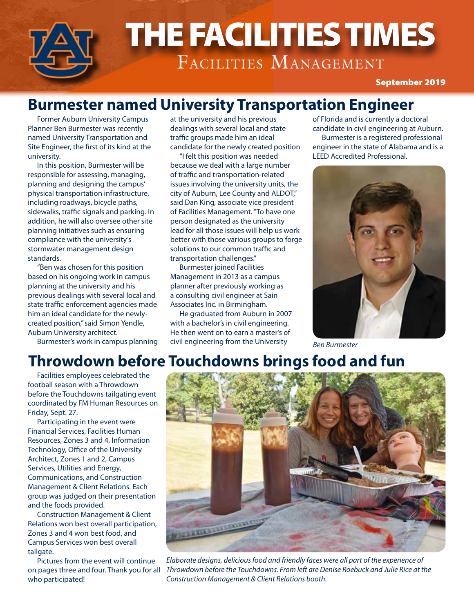

## **Burmester named University Transportation Engineer**

Former Auburn University Campus Planner Ben Burmester was recently named University Transportation and Site Engineer, the first of its kind at the university.

In this position, Burmester will be responsible for assessing, managing, planning and designing the campus' physical transportation infrastructure, including roadways, bicycle paths, sidewalks, traffic signals and parking. In addition, he will also oversee other site planning initiatives such as ensuring compliance with the university's stormwater management design standards.

"Ben was chosen for this position based on his ongoing work in campus planning at the university and his previous dealings with several local and state traffic enforcement agencies made him an ideal candidate for the newlycreated position," said Simon Yendle, Auburn University architect.

Burmester's work in campus planning

at the university and his previous dealings with several local and state traffic groups made him an ideal candidate for the newly created position

"I felt this position was needed because we deal with a large number of traffic and transportation-related issues involving the university units, the city of Auburn, Lee County and ALDOT," said Dan King, associate vice president of Facilities Management. "To have one person designated as the university lead for all those issues will help us work better with those various groups to forge solutions to our common traffic and transportation challenges."

Burmester joined Facilities Management in 2013 as a campus planner after previously working as a consulting civil engineer at Sain Associates Inc. in Birmingham.

He graduated from Auburn in 2007 with a bachelor's in civil engineering. He then went on to earn a master's of civil engineering from the University

of Florida and is currently a doctoral candidate in civil engineering at Auburn. Burmester is a registered professional engineer in the state of Alabama and is a LEED Accredited Professional.



*Ben Burmester*

## **Throwdown before Touchdowns brings food and fun**

Facilities employees celebrated the football season with a Throwdown before the Touchdowns tailgating event coordinated by FM Human Resources on Friday, Sept. 27.

Participating in the event were Financial Services, Facilities Human Resources, Zones 3 and 4, Information Technology, Office of the University Architect, Zones 1 and 2, Campus Services, Utilities and Energy, Communications, and Construction Management & Client Relations. Each group was judged on their presentation and the foods provided.

Construction Management & Client Relations won best overall participation, Zones 3 and 4 won best food, and Campus Services won best overall tailgate.

Pictures from the event will continue on pages three and four. Thank you for all who participated!



*Elaborate designs, delicious food and friendly faces were all part of the experience of Throwdown before the Touchdowns. From left are Denise Roebuck and Julie Rice at the Construction Management & Client Relations booth.*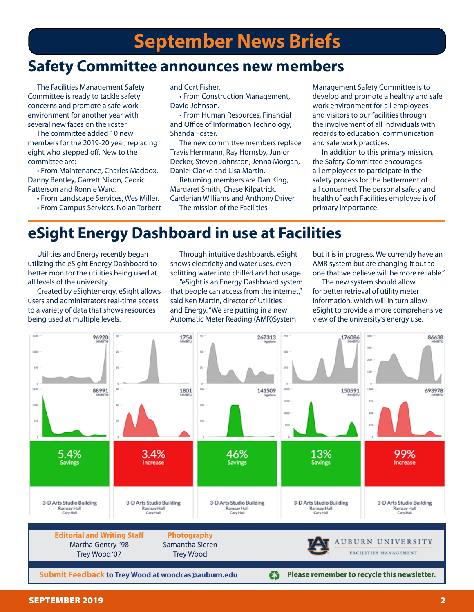## **Safety Committee announces new members**

The Facilities Management Safety Committee is ready to tackle safety concerns and promote a safe work environment for another year with several new faces on the roster.

The committee added 10 new members for the 2019-20 year, replacing eight who stepped off. New to the committee are:

• From Maintenance, Charles Maddox, Danny Bentley, Garrett Nixon, Cedric Patterson and Ronnie Ward.

- From Landscape Services, Wes Miller.
- From Campus Services, Nolan Torbert

and Cort Fisher.

• From Construction Management, David Johnson.

• From Human Resources, Financial and Office of Information Technology, Shanda Foster.

The new committee members replace Travis Herrmann, Ray Hornsby, Junior Decker, Steven Johnston, Jenna Morgan, Daniel Clarke and Lisa Martin.

Returning members are Dan King, Margaret Smith, Chase Kilpatrick, Carderian Williams and Anthony Driver. The mission of the Facilities

Management Safety Committee is to develop and promote a healthy and safe work environment for all employees and visitors to our facilities through the involvement of all individuals with regards to education, communication and safe work practices.

In addition to this primary mission, the Safety Committee encourages all employees to participate in the safety process for the betterment of all concerned. The personal safety and health of each Facilities employee is of primary importance.

## **eSight Energy Dashboard in use at Facilities**

Utilities and Energy recently began utilizing the eSight Energy Dashboard to better monitor the utilities being used at all levels of the university.

Created by eSightenergy, eSight allows users and administrators real-time access to a variety of data that shows resources being used at multiple levels.

Through intuitive dashboards, eSight shows electricity and water uses, even splitting water into chilled and hot usage.

"eSight is an Energy Dashboard system that people can access from the internet," said Ken Martin, director of Utilities and Energy. "We are putting in a new Automatic Meter Reading (AMR)System

but it is in progress. We currently have an AMR system but are changing it out to one that we believe will be more reliable."

The new system should allow for better retrieval of utility meter information, which will in turn allow eSight to provide a more comprehensive view of the university's energy use.

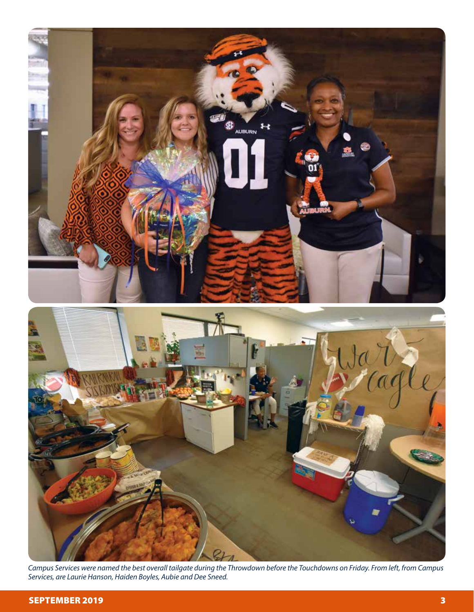

*Campus Services were named the best overall tailgate during the Throwdown before the Touchdowns on Friday. From left, from Campus Services, are Laurie Hanson, Haiden Boyles, Aubie and Dee Sneed.*